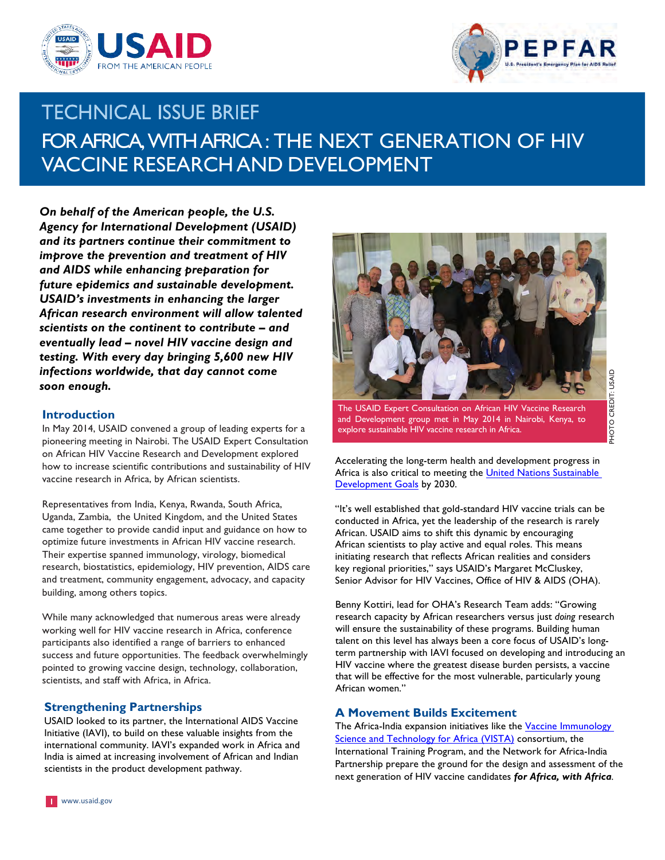



# **TECHNICAL ISSUE BRIEF**  FORAFRICA,WITHAFRICA: THE NEXT GENERATION OF HIV VACCINE RESEARCH AND DEVELOPMENT

 *On behalf of the American people, the U.S. Agency for International Development (USAID) and its partners continue their commitment to and AIDS while enhancing preparation for future epidemics and sustainable development. USAID's investments in enhancing the larger African research environment will allow talented scientists on the continent to contribute – and eventually lead – novel HIV vaccine design and testing. With every day bringing 5,600 new HIV infections worldwide, that day cannot come improve the prevention and treatment of HIV soon enough.*

#### **Introduction**

 In May 2014, USAID convened a group of leading experts for a pioneering meeting in Nairobi. The USAID Expert Consultation on African HIV Vaccine Research and Development explored how to increase scientific contributions and sustainability of HIV vaccine research in Africa, by African scientists.

 Representatives from India, Kenya, Rwanda, South Africa, Uganda, Zambia, the United Kingdom, and the United States came together to provide candid input and guidance on how to optimize future investments in African HIV vaccine research. Their expertise spanned immunology, virology, biomedical research, biostatistics, epidemiology, HIV prevention, AIDS care and treatment, community engagement, advocacy, and capacity building, among others topics.

 While many acknowledged that numerous areas were already working well for HIV vaccine research in Africa, conference participants also identified a range of barriers to enhanced success and future opportunities. The feedback overwhelmingly pointed to growing vaccine design, technology, collaboration, scientists, and staff with Africa, in Africa.

## **Strengthening Partnerships**

 USAID looked to its partner, the International AIDS Vaccine international community. IAVI's expanded work in Africa and scientists in the product development pathway. Initiative (IAVI), to build on these valuable insights from the India is aimed at increasing involvement of African and Indian



 The USAID Expert Consultation on African HIV Vaccine Research and Development group met in May 2014 in Nairobi, Kenya, to explore sustainable HIV vaccine research in Africa.

 Accelerating the long-term health and development progress in Africa is also critical to meeting the United Nations Sustainable Development Goals by 2030.

 "It's well established that gold-standard HIV vaccine trials can be conducted in Africa, yet the leadership of the research is rarely African. USAID aims to shift this dynamic by encouraging African scientists to play active and equal roles. This means initiating research that reflects African realities and considers key regional priorities," says USAID's Margaret McCluskey, Senior Advisor for HIV Vaccines, Office of HIV & AIDS (OHA).

 Benny Kottiri, lead for OHA's Research Team adds: "Growing research capacity by African researchers versus just *doing* research will ensure the sustainability of these programs. Building human talent on this level has always been a core focus of USAID's long- term partnership with IAVI focused on developing and introducing an HIV vaccine where the greatest disease burden persists, a vaccine that will be effective for the most vulnerable, particularly young African women."

## **A Movement Builds Excitement**

The Africa-India expansion initiatives like the <u>Vaccine Immunology</u> Science and Technology for Africa (VISTA) consortium, the Partnership prepare the ground for the design and assessment of the next generation of HIV vaccine candidates *for Africa, with Africa.* International Training Program, and the Network for Africa-India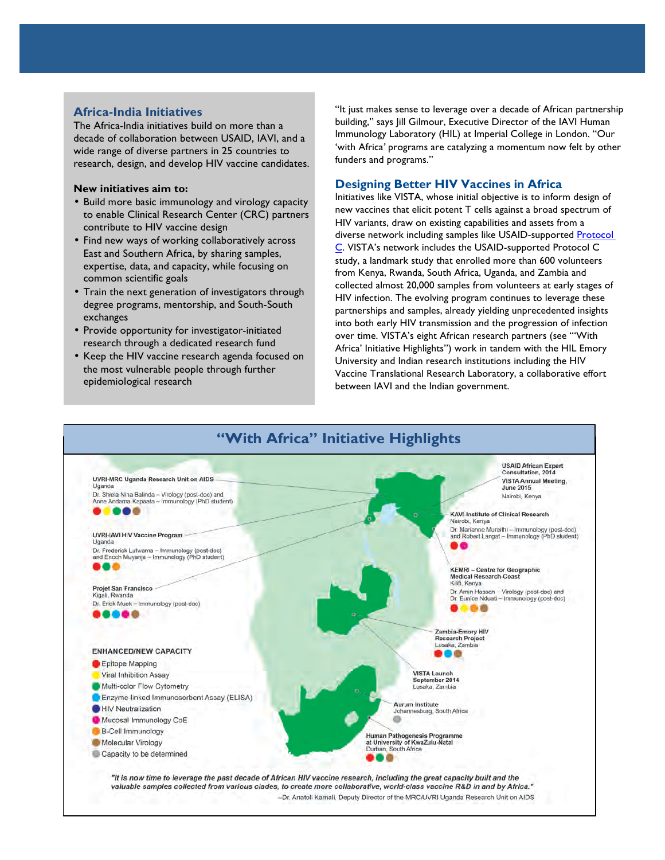# **Africa-India Initiatives**

 The Africa-India initiatives build on more than a decade of collaboration between USAID, IAVI, and a wide range of diverse partners in 25 countries to research, design, and develop HIV vaccine candidates.

#### **New initiatives aim to:**

- • Build more basic immunology and virology capacity to enable Clinical Research Center (CRC) partners contribute to HIV vaccine design
- • Find new ways of working collaboratively across East and Southern Africa, by sharing samples, expertise, data, and capacity, while focusing on common scientific goals
- • Train the next generation of investigators through degree programs, mentorship, and South-South exchanges
- • Provide opportunity for investigator-initiated research through a dedicated research fund
- • Keep the HIV vaccine research agenda focused on the most vulnerable people through further epidemiological research

 building," says Jill Gilmour, Executive Director of the IAVI Human 'with Africa*'* programs are catalyzing a momentum now felt by other "It just makes sense to leverage over a decade of African partnership Immunology Laboratory (HIL) at Imperial College in London. "Our funders and programs."

### **Designing Better HIV Vaccines in Africa**

 new vaccines that elicit potent T cells against a broad spectrum of HIV variants, draw on existing capabilities and assets from a diverse network including samples like USAID-supported Protocol C. VISTA's network includes the USAID-supported Protocol C study, a landmark study that enrolled more than 600 volunteers from Kenya, Rwanda, South Africa, Uganda, and Zambia and collected almost 20,000 samples from volunteers at early stages of HIV infection. The evolving program continues to leverage these partnerships and samples, already yielding unprecedented insights into both early HIV transmission and the progression of infection over time. VISTA's eight African research partners (see "'With Africa' Initiative Highlights") work in tandem with the HIL Emory University and Indian research institutions including the HIV Vaccine Translational Research Laboratory, a collaborative effort between IAVI and the Indian government. Initiatives like VISTA, whose initial objective is to inform design of